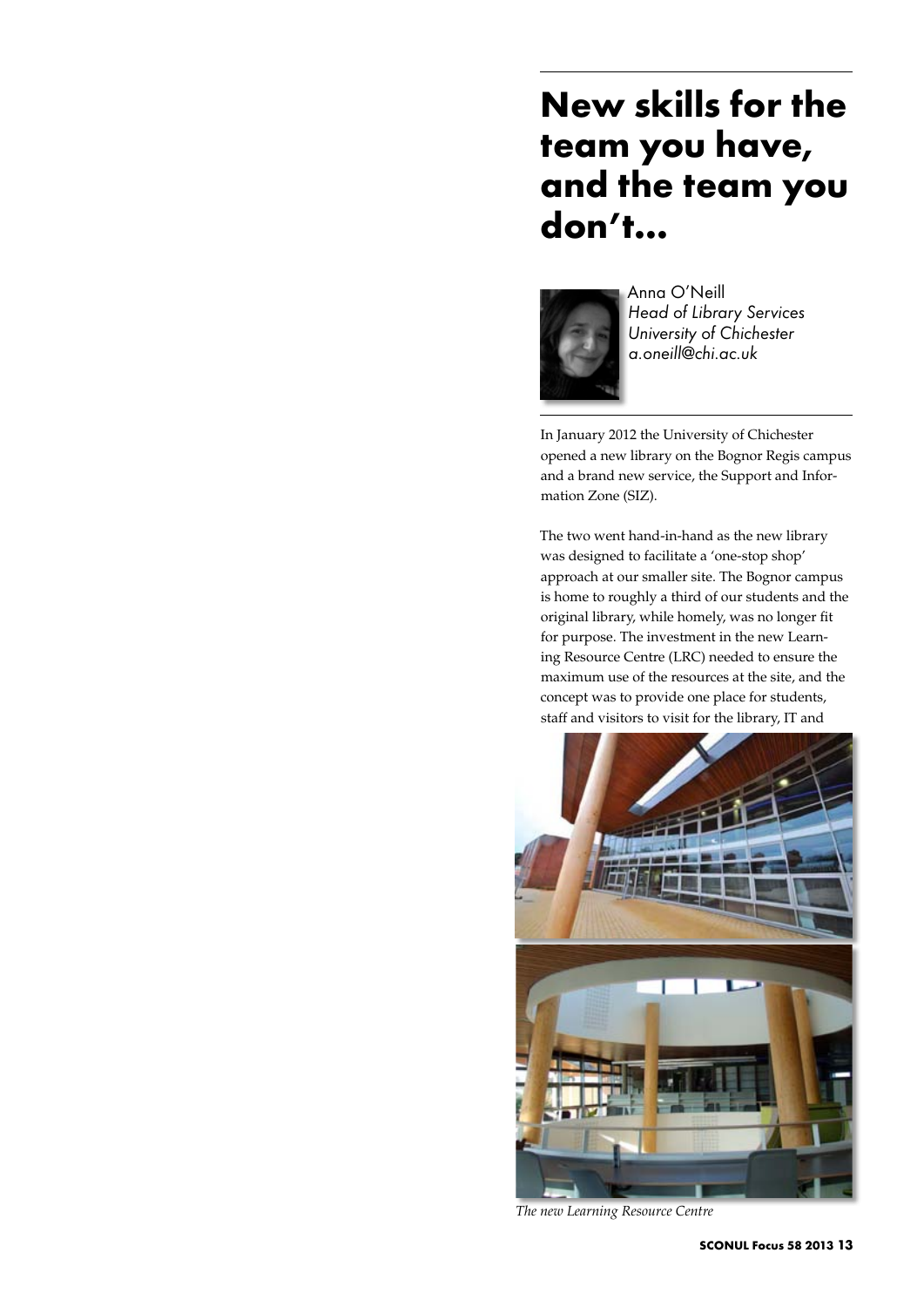# **New skills for the team you have, and the team you don't…**



Anna O'Neill *Head of Library Services University of Chichester a.oneill@chi.ac.uk*

In January 2012 the University of Chichester opened a new library on the Bognor Regis campus and a brand new service, the Support and Information Zone (SIZ).

The two went hand-in-hand as the new library was designed to facilitate a 'one-stop shop' approach at our smaller site. The Bognor campus is home to roughly a third of our students and the original library, while homely, was no longer fit for purpose. The investment in the new Learning Resource Centre (LRC) needed to ensure the maximum use of the resources at the site, and the concept was to provide one place for students, staff and visitors to visit for the library, IT and



*The new Learning Resource Centre*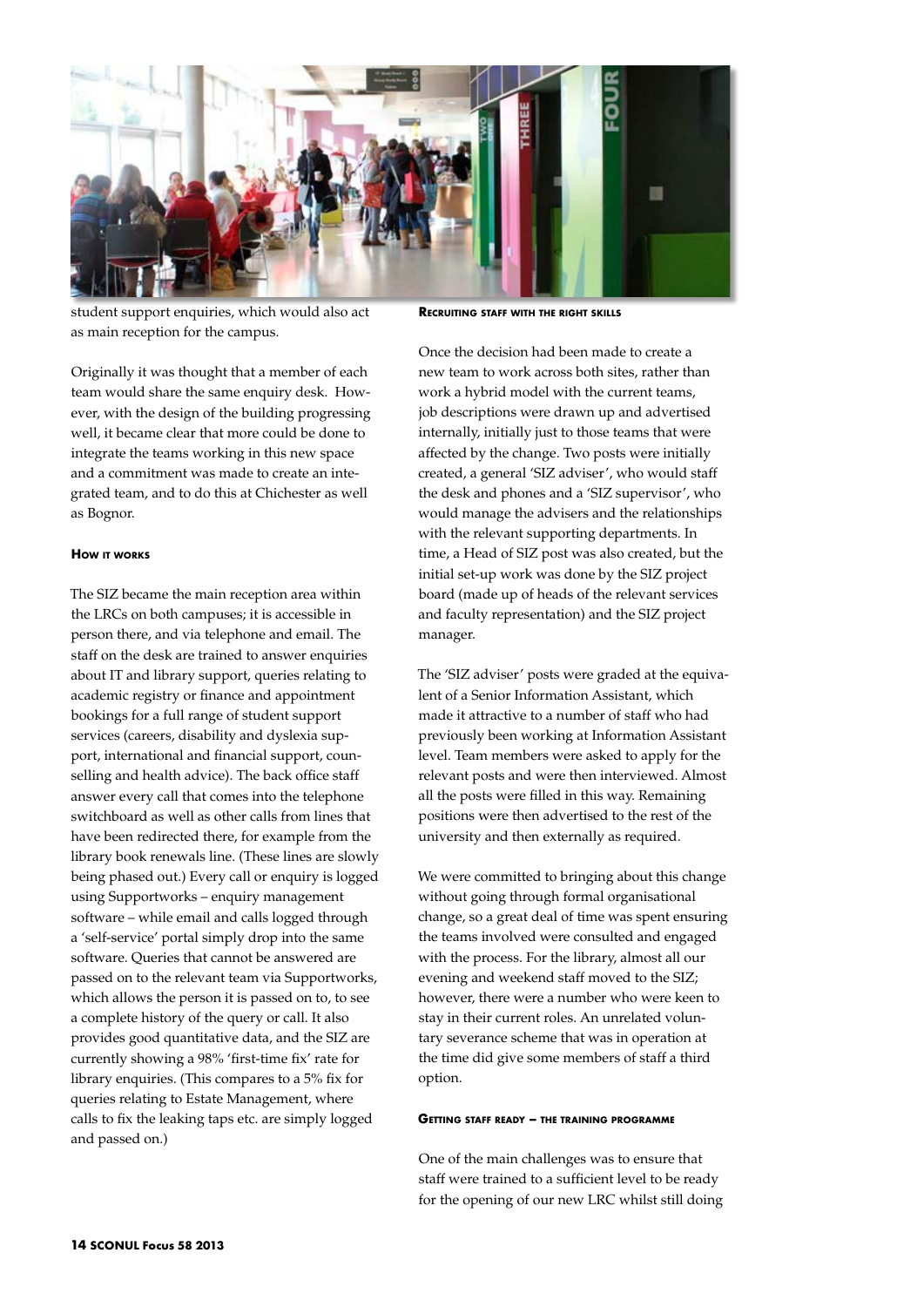

student support enquiries, which would also act as main reception for the campus.

Originally it was thought that a member of each team would share the same enquiry desk. However, with the design of the building progressing well, it became clear that more could be done to integrate the teams working in this new space and a commitment was made to create an integrated team, and to do this at Chichester as well as Bognor.

## **How it works**

The SIZ became the main reception area within the LRCs on both campuses; it is accessible in person there, and via telephone and email. The staff on the desk are trained to answer enquiries about IT and library support, queries relating to academic registry or finance and appointment bookings for a full range of student support services (careers, disability and dyslexia support, international and financial support, counselling and health advice). The back office staff answer every call that comes into the telephone switchboard as well as other calls from lines that have been redirected there, for example from the library book renewals line. (These lines are slowly being phased out.) Every call or enquiry is logged using Supportworks – enquiry management software – while email and calls logged through a 'self-service' portal simply drop into the same software. Queries that cannot be answered are passed on to the relevant team via Supportworks, which allows the person it is passed on to, to see a complete history of the query or call. It also provides good quantitative data, and the SIZ are currently showing a 98% 'first-time fix' rate for library enquiries. (This compares to a 5% fix for queries relating to Estate Management, where calls to fix the leaking taps etc. are simply logged and passed on.)

**Recruiting staff with the right skills**

Once the decision had been made to create a new team to work across both sites, rather than work a hybrid model with the current teams, job descriptions were drawn up and advertised internally, initially just to those teams that were affected by the change. Two posts were initially created, a general 'SIZ adviser', who would staff the desk and phones and a 'SIZ supervisor', who would manage the advisers and the relationships with the relevant supporting departments. In time, a Head of SIZ post was also created, but the initial set-up work was done by the SIZ project board (made up of heads of the relevant services and faculty representation) and the SIZ project manager.

The 'SIZ adviser' posts were graded at the equivalent of a Senior Information Assistant, which made it attractive to a number of staff who had previously been working at Information Assistant level. Team members were asked to apply for the relevant posts and were then interviewed. Almost all the posts were filled in this way. Remaining positions were then advertised to the rest of the university and then externally as required.

We were committed to bringing about this change without going through formal organisational change, so a great deal of time was spent ensuring the teams involved were consulted and engaged with the process. For the library, almost all our evening and weekend staff moved to the SIZ; however, there were a number who were keen to stay in their current roles. An unrelated voluntary severance scheme that was in operation at the time did give some members of staff a third option.

#### **Getting staff ready – the training programme**

One of the main challenges was to ensure that staff were trained to a sufficient level to be ready for the opening of our new LRC whilst still doing